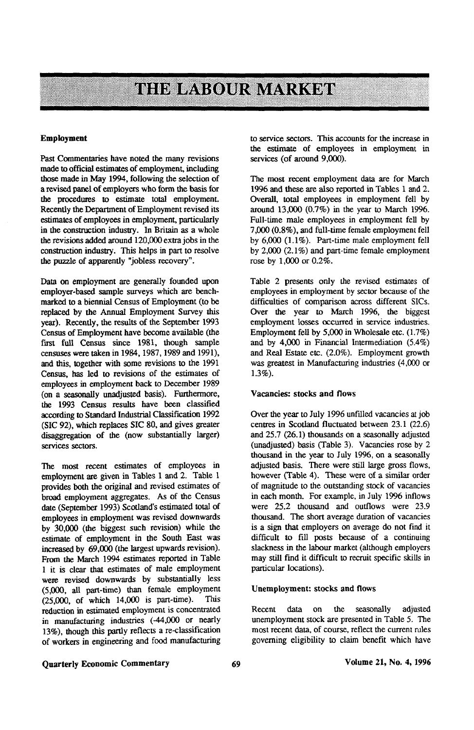# **THE LABOUR MARKET**

#### **Employment**

Past Commentaries have noted the many revisions made to official estimates of employment, including those made in May 1994, following the selection of a revised panel of employers who form the basis for the procedures to estimate total employment. Recently the Department of Employment revised its estimates of employees in employment, particularly in the construction industry. In Britain as a whole the revisions added around 120,000 extra jobs in the construction industry. This helps in part to resolve the puzzle of apparently "jobless recovery".

Data on employment are generally founded upon employer-based sample surveys which are benchmarked to a biennial Census of Employment (to be replaced by the Annual Employment Survey this year). Recently, the results of the September 1993 Census of Employment have become available (the first full Census since 1981, though sample censuses were taken in 1984,1987,1989 and 1991), and this, together with some revisions to the 1991 Census, has led to revisions of the estimates of employees in employment back to December 1989 (on a seasonally unadjusted basis). Furthermore, the 1993 Census results have been classified according to Standard Industrial Classification 1992 (SIC 92), which replaces SIC 80, and gives greater disaggregation of the (now substantially larger) services sectors.

The most recent estimates of employees in employment are given in Tables 1 and 2. Table 1 provides both the original and revised estimates of broad employment aggregates. As of the Census date (September 1993) Scotland's estimated total of employees in employment was revised downwards by 30,000 (the biggest such revision) while the estimate of employment in the South East was increased by 69,000 (the largest upwards revision). From the March 1994 estimates reported in Table 1 it is clear that estimates of male employment were revised downwards by substantially less (5,000, all part-time) than female employment (25,000, of which 14,000 is part-time). This reduction in estimated employment is concentrated in manufacturing industries (-44,000 or nearly 13%), though this partly reflects a re-classification of workers in engineering and food manufacturing to service sectors. This accounts for the increase in the estimate of employees in employment in services (of around 9,000).

The most recent employment data are for March 1996 and these are also reported in Tables 1 and 2. Overall, total employees in employment fell by around 13,000 (0.7%) in the year to March 1996. Full-time male employees in employment fell by 7,000 (0.8%), and full-time female employment fell by 6,000 (1.1%). Part-time male employment fell by 2,000 (2.1%) and part-time female employment rose by 1,000 or 0.2%.

Table 2 presents only the revised estimates of employees in employment by sector because of the difficulties of comparison across different SICs. Over the year to March 1996, the biggest employment losses occurred in service industries. Employment fell by 5,000 in Wholesale etc. (1.7%) and by 4,000 in Financial Intermediation (5.4%) and Real Estate etc. (2.0%). Employment growth was greatest in Manufacturing industries (4,000 or 1.3%).

#### Vacancies: stocks and flows

Over the year to July 1996 unfilled vacancies at job centres in Scotland fluctuated between 23.1 (22.6) and 25.7 (26.1) thousands on a seasonally adjusted (unadjusted) basis (Table 3). Vacancies rose by 2 thousand in the year to July 1996, on a seasonally adjusted basis. There were still large gross flows, however (Table 4). These were of a similar order of magnitude to the outstanding stock of vacancies in each month. For example, in July 1996 inflows were 25.2 thousand and outflows were 23.9 thousand. The short average duration of vacancies is a sign that employers on average do not find it difficult to fill posts because of a continuing slackness in the labour market (although employers may still find it difficult to recruit specific skills in particular locations).

#### Unemployment: stocks and flows

Recent data on the seasonally adjusted unemployment stock are presented in Table 5. The most recent data, of course, reflect the current rules governing eligibility to claim benefit which have

## Quarterly Economic Commentary 69 Volume 21, No. 4, 1996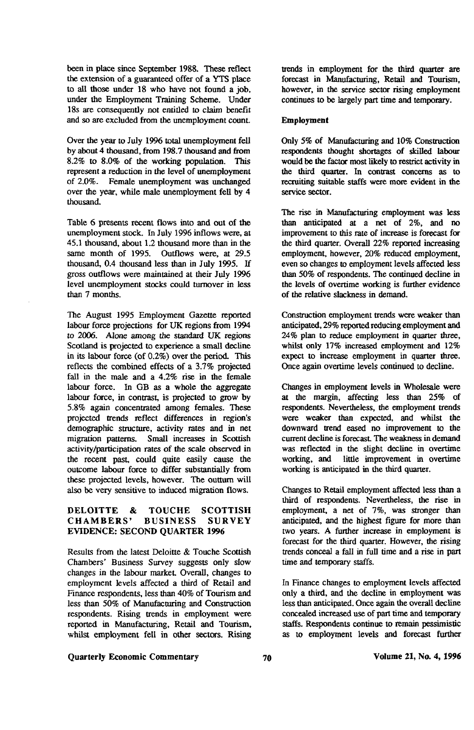been in place since September 1988. These reflect the extension of a guaranteed offer of a YTS place to all those under 18 who have not found a job, under the Employment Training Scheme. Under 18s are consequently not emitted to claim benefit and so are excluded from the unemployment count

Over the year to July 1996 total unemployment fell by about 4 thousand, from 198.7 thousand and from 8.2% to 8.0% of the working population. This represent a reduction in the level of unemployment of 2.0%. Female unemployment was unchanged over the year, while male unemployment fell by 4 thousand.

Table 6 presents recent flows into and out of the unemployment stock. In July 1996 inflows were, at 45.1 thousand, about 1.2 thousand more than in the same month of 1995. Outflows were, at 29.5 thousand, 0.4 thousand less than in July 1995. If gross outflows were maintained at their July 1996 level unemployment stocks could turnover in less than 7 months.

The August 1995 Employment Gazette reported labour force projections for UK regions from 1994 to 2006. Alone among the standard UK regions Scotland is projected to experience a small decline in its labour force (of 0.2%) over die period. This reflects the combined effects of a 3.7% projected fall in the male and a 4.2% rise in the female labour force. In GB as a whole the aggregate labour force, in contrast, is projected to grow by 5.8% again concentrated among females. These projected trends reflect differences in region's demographic structure, activity rates and in net migration patterns. Small increases in Scottish activity/participation rates of the scale observed in the recent past, could quite easily cause the outcome labour force to differ substantially from these projected levels, however. The outturn will also be very sensitive to induced migration flows.

### DELOITTE & TOUCHE SCOTTISH<br>CHAMBERS' BUSINESS SURVEY CHAMBERS' BUSINESS SURVEY EVIDENCE: SECOND QUARTER 1996

Results from the latest Deloitte & Touche Scottish Chambers' Business Survey suggests only slow changes in the labour market. Overall, changes to employment levels affected a third of Retail and Finance respondents, less than 40% of Tourism and less than 50% of Manufacturing and Construction respondents. Rising trends in employment were reported in Manufacturing, Retail and Tourism, whilst employment fell in other sectors. Rising

### Quarterly Economic Commentary Volume 21, No. 4,1996

trends in employment for the third quarter are forecast in Manufacturing, Retail and Tourism, however, in the service sector rising employment continues to be largely part time and temporary.

#### Employment

Only 5% of Manufacturing and 10% Construction respondents thought shortages of skilled labour would be the factor most likely to restrict activity in the third quarter. In contrast concerns as to recruiting suitable staffs were more evident in the service sector.

The rise in Manufacturing employment was less than anticipated at a net of 2%, and no improvement to this rate of increase is forecast for the third quarter. Overall 22% reported increasing employment, however, 20% reduced employment, even so changes to employment levels affected less than 50% of respondents. The continued decline in the levels of overtime working is further evidence of the relative slackness in demand.

Construction employment trends were weaker than anticipated, 29% reported reducing employment and 24% plan to reduce employment in quarter three, whilst only 17% increased employment and 12% expect to increase employment in quarter three. Once again overtime levels continued to decline.

Changes in employment levels in Wholesale were at the margin, affecting less than 25% of respondents. Nevertheless, the employment trends were weaker than expected, and whilst the downward trend eased no improvement to the current decline is forecast The weakness in demand was reflected in the slight decline in overtime working, and little improvement in overtime working is anticipated in the third quarter.

Changes to Retail employment affected less than a third of respondents. Nevertheless, the rise in employment, a net of 7%, was stronger than anticipated, and the highest figure for more than two years. A further increase in employment is forecast for the third quarter. However, the rising trends conceal a fall in full time and a rise in part time and temporary staffs.

In Finance changes to employment levels affected only a third, and die decline in employment was less than anticipated. Once again the overall decline concealed increased use of part time and temporary staffs. Respondents continue to remain pessimistic as to employment levels and forecast further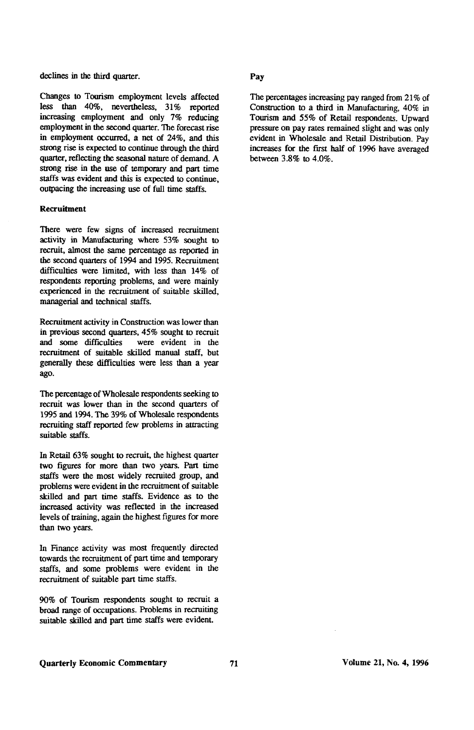declines in the third quarter. **Pay** 

Changes to Tourism employment levels affected less than 40%, nevertheless, 31% reported increasing employment and only 7% reducing employment in the second quarter. The forecast rise in employment occurred, a net of 24%, and this strong rise is expected to continue through the third quarter, reflecting the seasonal nature of demand. A strong rise in the use of temporary and part time staffs was evident and this is expected to continue, outpacing the increasing use of full time staffs.

#### **Recruitment**

There were few signs of increased recruitment activity in Manufacturing where 53% sought to recruit, almost the same percentage as reported in the second quarters of 1994 and 1995. Recruitment difficulties were limited, with less than 14% of respondents reporting problems, and were mainly experienced in the recruitment of suitable skilled, managerial and technical staffs.

Recruitment activity in Construction was lower than in previous second quarters, 45% sought to recruit<br>and some difficulties were evident in the were evident in the recruitment of suitable skilled manual staff, but generally these difficulties were less than a year ago.

The percentage of Wholesale respondents seeking to recruit was lower than in the second quarters of 1995 and 1994. The 39% of Wholesale respondents recruiting staff reported few problems in attracting suitable staffs.

In Retail 63% sought to recruit, the highest quarter two figures for more than two years. Part time staffs were the most widely recruited group, and problems were evident in the recruitment of suitable skilled and part time staffs. Evidence as to the increased activity was reflected in the increased levels of training, again the highest figures for more than two years.

In Finance activity was most frequently directed towards the recruitment of part time and temporary staffs, and some problems were evident in the recruitment of suitable part time staffs.

90% of Tourism respondents sought to recruit a broad range of occupations. Problems in recruiting suitable skilled and part time staffs were evident.

The percentages increasing pay ranged from 21% of Construction to a third in Manufacturing, 40% in Tourism and 55% of Retail respondents. Upward pressure on pay rates remained slight and was only evident in Wholesale and Retail Distribution. Pay increases for the first half of 1996 have averaged between 3.8% to 4.0%.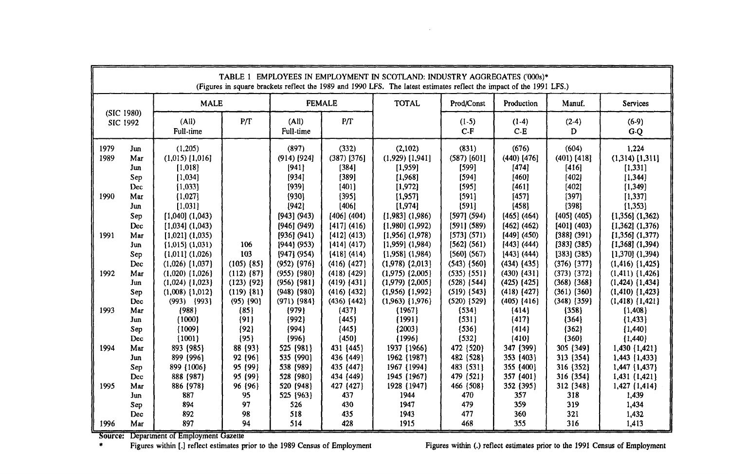| TABLE 1 EMPLOYEES IN EMPLOYMENT IN SCOTLAND: INDUSTRY AGGREGATES ('000s)*<br>(Figures in square brackets reflect the 1989 and 1990 LFS. The latest estimates reflect the impact of the 1991 LFS.) |                                 |                                                                                            |                                                                         |                                                                          |                                                                            |                                                                                              |                                                                          |                                                                              |                                                                              |                                                                                              |
|---------------------------------------------------------------------------------------------------------------------------------------------------------------------------------------------------|---------------------------------|--------------------------------------------------------------------------------------------|-------------------------------------------------------------------------|--------------------------------------------------------------------------|----------------------------------------------------------------------------|----------------------------------------------------------------------------------------------|--------------------------------------------------------------------------|------------------------------------------------------------------------------|------------------------------------------------------------------------------|----------------------------------------------------------------------------------------------|
| (SIC 1980)<br>SIC 1992                                                                                                                                                                            |                                 | <b>MALE</b>                                                                                |                                                                         | <b>FEMALE</b>                                                            |                                                                            | <b>TOTAL</b>                                                                                 | Prod/Const                                                               | Production                                                                   | Manuf.                                                                       | <b>Services</b>                                                                              |
|                                                                                                                                                                                                   |                                 | (A <sub>II</sub> )<br>Full-time                                                            | P/T                                                                     | (AII)<br>Full-time                                                       | P/T                                                                        |                                                                                              | $(1-5)$<br>$C-F$                                                         | $(1-4)$<br>$C-E$                                                             | $(2-4)$<br>D                                                                 | (6.9)<br>$G-Q$                                                                               |
| 1979<br>1989                                                                                                                                                                                      | Jun<br>Mar<br>Jun<br>Sep<br>Dec | (1,205)<br>$(1,015)$ [1,016]<br>[1,018]<br>[1,034]<br>[1,033]                              |                                                                         | (897)<br>$(914)$ [924]<br>[941]<br>[934]<br>[939]                        | (332)<br>$(387)$ [376]<br>[384]<br>[389]<br>[401]                          | (2,102)<br>$(1,929)$ [1,941]<br>[1,959]<br>[1,968]<br>[1, 972]                               | (831)<br>$(587)$ [601]<br>[599]<br>[594]<br>[595]                        | (676)<br>$(440)$ [476]<br>[474]<br>[460]<br>[461]                            | (604)<br>$(401)$ $[418]$<br>[416]<br>[402]<br>[402]                          | 1.224<br>$(1,314)$ [1,311]<br>[1,331]<br>[1, 344]<br>[1, 349]                                |
| 1990<br>1991                                                                                                                                                                                      | Mar<br>Jun<br>Sep<br>Dec        | [1,027]<br>[1,031]<br>$[1,040]$ $(1,043)$<br>$[1,034]$ $(1,043)$                           |                                                                         | [930]<br>[942]<br>[943] (943)<br>[946] (949)                             | ${395}$<br>[406]<br>[406] (404)<br>[417] (416)                             | [1,957]<br>[1,974]<br>$[1,983]$ $(1,986)$<br>$[1,980]$ $(1,992)$                             | 1591<br>[591]<br>[597] (594)<br>[591] (589)<br>[573] (571)               | [457]<br>[458]<br>[465] (464)<br>[462] (462)<br>[449] (450)                  | [397]<br>[398]<br>[405] (405)<br>[401] (403)<br>[388] (391)                  | [1, 337]<br>[1, 353]<br>$[1,356]$ $(1,362)$<br>$[1,362]$ $(1,376)$                           |
|                                                                                                                                                                                                   | Mar<br>Jun<br>Sep<br>Dec        | $[1,021]$ $(1,035)$<br>$[1,015]$ $(1,031)$<br>$(1,011)$ $(1,026)$<br>$(1,026)$ $\{1,037\}$ | 106<br>103<br>$(105)$ $(85)$                                            | [936] (941)<br>[944] (953)<br>$[947]$ (954)<br>$(952)$ $(976)$           | [412] (413)<br>[414] (417)<br>[418] (414)<br>$(416)$ $(427)$               | $[1,956]$ $(1,978)$<br>$[1,959]$ $(1,984)$<br>$[1,958]$ $(1,984)$<br>$(1,978)$ $(2,013)$     | [562] (561)<br>$[560]$ (567)<br>$(543)$ $(560)$                          | [443] (444)<br>[443] (444)<br>$(434)$ $(435)$                                | $[383]$ $(385)$<br>[383] (385)<br>$(376)$ $\{377\}$                          | $[1,356]$ $(1,377)$<br>$[1,368]$ (1,394)<br>$[1,370]$ (1,394)<br>$(1,416)$ $(1,425)$         |
| 1992                                                                                                                                                                                              | Mar<br>Jun<br>Sep<br><b>Dec</b> | $(1,020)$ $(1,026)$<br>$(1,024)$ $\{1,023\}$<br>$(1,008)$ $\{1,012\}$<br>$(993)$ $\{993\}$ | $(112)$ $\{87\}$<br>$(123)$ $\{92\}$<br>$(119)$ {81}<br>$(95)$ $\{90\}$ | $(955)$ $(980)$<br>$(956)$ $(981)$<br>$(948)$ $(980)$<br>$(971)$ $(984)$ | $(418)$ $(429)$<br>$(419)$ $[431]$<br>$(416)$ $(432)$<br>$(436)$ $\{442\}$ | $(1,975)$ $(2,005)$<br>$(1,979)$ $(2,005)$<br>$(1,956)$ $\{1,992\}$<br>$(1,963)$ $\{1,976\}$ | $(535)$ $\{551\}$<br>$(528)$ [544]<br>$(519)$ $\{543\}$<br>$(520)$ {529} | $(430)$ $(431)$<br>$(425)$ $\{425\}$<br>$(418)$ $(427)$<br>$(405)$ $\{416\}$ | $(373)$ $(372)$<br>$(368)$ $\{368\}$<br>$(361)$ $(360)$<br>$(348)$ $\{359\}$ | $(1,411)$ $\{1,426\}$<br>$(1,424)$ $(1,434)$<br>$(1,410)$ $\{1,423\}$<br>$(1,418)$ $(1,421)$ |
| 1993                                                                                                                                                                                              | Mar<br>Jun.<br>Sep<br>Dec       | (988)<br>(1000)<br>${1009}$<br>${1001}$                                                    | ${85}$<br>${91}$<br>${92}$<br>${95}$                                    | ${979}$<br>(992)<br>${994}$<br>${996}$                                   | (437)<br>${445}$<br>${445}$<br>${450}$                                     | (1967)<br>[1991]<br>${2003}$<br>${1996}$                                                     | (534)<br>${531}$<br>${536}$<br>(532)                                     | ${414}$<br>${417}$<br>(414)<br>(410)                                         | (358)<br>${364}$<br>(362)<br>${360}$                                         | (1,408)<br>${1,433}$<br>${1,440}$<br>${1,440}$                                               |
| 1994                                                                                                                                                                                              | Mar<br>Jun<br>Sep<br>Dec        | 893 (985)<br>899 (996)<br>899 (1006)<br>888 (987)                                          | 88 (93)<br>92 (96)<br>95 (99)<br>95 (99)                                | 525 (981)<br>535 (990)<br>538 (989)<br>528 (980)                         | 431 {445}<br>436 {449}<br>435 {447}<br>434 (449)                           | 1937 {1966}<br>1962 {1987}<br>1967 {1994}<br>1945 (1967)                                     | 472 (520)<br>482 (528)<br>483 (531)<br>479 (521)                         | 347 (399)<br>353 (403)<br>355 (400)<br>357 (401)                             | 305 {349}<br>313 (354)<br>316 (352)<br>316 (354)                             | 1,430 {1,421}<br>1,443 (1,433)<br>1,447 {1,437}<br>1,431 (1,421)                             |
| 1995                                                                                                                                                                                              | Mar<br>Jun<br>Sep<br>Dec        | 886 (978)<br>887<br>894<br>892                                                             | 96 (96)<br>95<br>97<br>98                                               | 520 (948)<br>525 (963)<br>526<br>518                                     | 427 {427}<br>437<br>430<br>435                                             | 1928 { 1947 }<br>1944<br>1947<br>1943                                                        | 466 (508)<br>470<br>479<br>477                                           | 352 (395)<br>357<br>359<br>360                                               | 312 (348)<br>318<br>319<br>321                                               | $1,427$ $\{1,414\}$<br>1.439<br>1,434<br>1,432                                               |
| 1996                                                                                                                                                                                              | Mar                             | 897                                                                                        | 94                                                                      | 514                                                                      | 428                                                                        | 1915                                                                                         | 468                                                                      | 355                                                                          | 316                                                                          | 1,413                                                                                        |

Department of Employment Gazette

Figures within [.] reflect estimates prior to the 1989 Census of Employment Figures within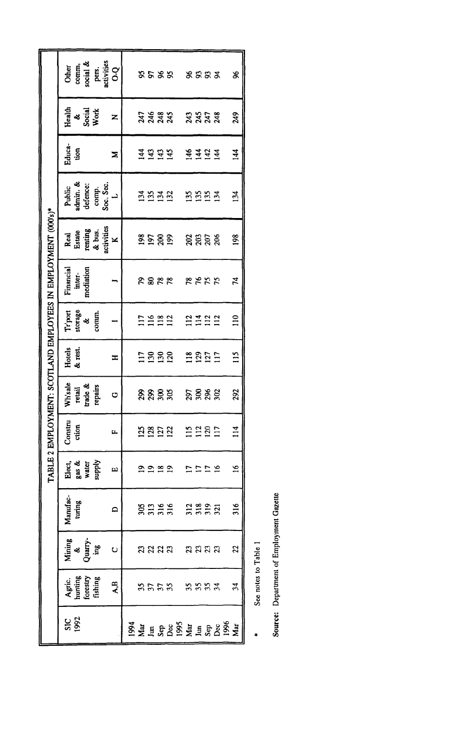|                                                             | pers.<br>activities<br>Other<br>comm,<br>social &<br>$\overline{O}$          | <b>5585</b><br>****<br>æ                        |
|-------------------------------------------------------------|------------------------------------------------------------------------------|-------------------------------------------------|
|                                                             | Health<br>&<br>Social<br>Work<br>Z                                           | 249<br>អន្តរន<br><b>asaa</b>                    |
|                                                             | Educa-<br>tion<br>z                                                          | 144<br>F <sub>457</sub>                         |
|                                                             | Public<br>admin. &<br>comp.<br>Soc. Sec.<br>defence:<br>ب<br>ب               | 134<br><u>ng a a</u><br>5553                    |
| BLE 2 EMPLOYMENT: SCOTLAND EMPLOYEES IN EMPLOYMENT (000's)* | activities<br>renting<br>& bus.<br>Real<br>Estate<br>$\overline{\mathbf{x}}$ | 198<br>ទីខ្នួន<br>ន្តន្តន្ត                     |
|                                                             | Financial<br>mediation<br>inter-                                             | <b>22552</b><br><b>8828</b><br>74               |
|                                                             | $Tr_{\text{port}}$<br>storage<br>&<br>comm.                                  | 110<br>2322<br>$116$<br>$118$<br>$112$          |
|                                                             | Hotels<br>& rest.<br>H                                                       | $\frac{15}{11}$<br><b>ESSS</b><br><b>2855</b>   |
|                                                             | Whisale<br>trade &<br>repairs<br>retail<br>O                                 | 292<br>ត្តន្តន្ត<br>ສິ ສິ ສິ ສິ                 |
|                                                             | Constru<br>ction<br>$\mu$                                                    | $\frac{14}{11}$<br>11<br>11<br>11<br>11<br>3852 |
| Σ                                                           | Elect,<br>gas &<br>water<br>water<br>supply<br>ĒΩ                            | ے<br>ج<br>$\infty$<br>ە<br>٣<br>$\bullet$<br>٣  |
|                                                             | Manufac-<br>turing<br>$\Box$                                                 | <b>8335 3325 5</b>                              |
|                                                             | Mining<br>&<br>Quarry-<br>ing<br>Ō                                           | 22<br>នននន នននន                                 |
|                                                             | Agric.<br>hunting<br>forestry<br>fishing<br>$\mathbf{A} \mathbf{B}$          | $\mathfrak{z}$<br><b>3553 3333</b>              |
|                                                             | $rac{26}{36}$                                                                | <b>SSHERS SSHERS</b> SSHE                       |

See notes to Table 1  $\ddot{\phantom{1}}$ 

Source: Department of Employment Gazette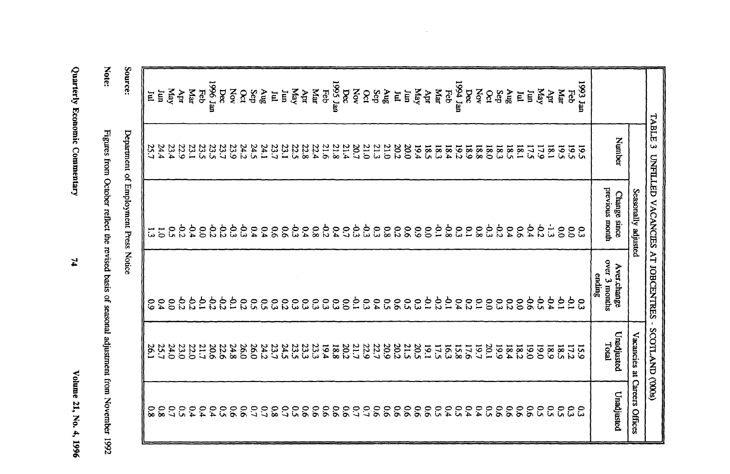| ī<br>İ<br>ĉ |
|-------------|
| Ħ<br>֧֛֠֜   |
| ę.          |
| ś           |
|             |

 $\mathbf{z}$ 

| Note.                                                                                   |
|-----------------------------------------------------------------------------------------|
|                                                                                         |
| į                                                                                       |
|                                                                                         |
|                                                                                         |
|                                                                                         |
|                                                                                         |
|                                                                                         |
|                                                                                         |
|                                                                                         |
|                                                                                         |
| igures from October reflect the revised basis of seasonal adjustment from November 1992 |
|                                                                                         |
|                                                                                         |
| ş                                                                                       |

Source:

Deparment of Employment Press Notice

| Im              | 17.5                | 64.4                           | $\overline{9}$<br>ς,                          | 0.61<br>0.61     | $\overline{90}$<br>$5^{\circ}$    |
|-----------------|---------------------|--------------------------------|-----------------------------------------------|------------------|-----------------------------------|
| E               | 1.81                | $\overline{5}$                 | $\infty$                                      | 182              | $\overline{90}$                   |
| 8n <sub>g</sub> | 18.5                | 6.4                            | $\overline{c}$                                | 18.4             | $\overline{90}$                   |
| Sep             | 18.3                | $-0.2$                         | 53                                            | <b>661</b>       | $50^{\circ}$                      |
| $\infty$        | 18.0                | م<br>و                         | $\overline{c}$                                | 20.1             | $5^{\circ}$                       |
| bec<br>XOV      | <b>18.9</b><br>18.8 | <b>P.1</b><br>$80^{\circ}$     | $\tilde{c}$<br>50                             | 19.7<br>17.6     | 64<br>64                          |
| nel 4291        | 19.2                | $50^{\circ}$                   | 54                                            | 15.8             | $5^{\circ}$                       |
| Feb             | 18.4                | $80-$                          | $\overline{5}$                                | 53               | 0.4                               |
| Mar             | <b>183</b>          | $\overline{5}$                 | $\mathfrak{S}2$                               | 17.5             | $5^{\circ}$                       |
| Apr             | 18.5                | $\tilde{c}$                    | ξ,                                            | 19.1             | $\overline{90}$                   |
| Yay             | 19.4                | 60                             | $5^{\circ}$                                   | 20.5             | $\overline{90}$                   |
| ίщ<br>E         | 20.2<br>20.0        | $\overline{5}$<br>$\tilde{c}$  | $5^{\circ}$<br>$\overline{90}$                | 20.2<br>512      | $\overline{5}$<br>$\overline{5}$  |
| $S_{\rm 1D}$    | 21.0                | $80^{\circ}$                   | $5^{\circ}$                                   | 20.9             | $\overline{90}$                   |
| Sep             | 21.3                | $\mathfrak{S}$                 | 6.4                                           | 22.7             | $\overline{90}$                   |
| $\infty$        | 21.0                | خ<br>ننا                       | $5^{\circ}$                                   | 22.9             | $\mathcal{L}^{\bullet}$           |
| Nov             | 20.7                | ბ<br>ვ                         | ξ,                                            | $20.7$<br>$20.2$ | $\mathcal{L}^{\bullet}$           |
| nss Jan<br>bec  | 21.4<br>21.8        | 0.4<br>$\mathcal{C}^{\bullet}$ | $\boldsymbol{\mathfrak{S}}$<br>$\overline{0}$ | 18.8             | $\overline{9}$<br>$\overline{90}$ |
| Feb             | 21.6                | $\mathcal{C}$                  | $5^{\circ}$                                   | 19.4             | $\overline{90}$                   |
| щаг             | 22.4                | $\frac{8}{8}$                  | $\mathfrak{S}$                                | 23.3             | $\overline{9}$                    |
| KeM<br>Apr      | 22.5<br>22.8        | ჭ<br>ვ<br>6.4                  | $\tilde{c}$<br>$\mathfrak{S}$                 | 23.5<br>23.3     | <u>ငှ</u><br>$\overline{90}$      |
| ίщ              | 23.1                | $\overline{9}$                 | $\overline{c}$                                | 24.5             | $\mathcal{L}^{\bullet}$           |
| E               | 23.7                | $\overline{9}$                 | 33                                            | 23.7             | $80^{\circ}$                      |
| $\sin \theta$   | 24.1                | 6.4                            | $5^{\circ}$                                   | 24.2             | $\mathcal{C}$                     |
| Sep             | 24.5                | 64                             | $50^{\circ}$                                  | 097              | $\overline{c}$                    |
| $\infty$        | 24.2                | ბ<br>ა                         | 53                                            | 26.0             | $\overline{90}$                   |
| XOV<br>pec      | 23.7<br>23.9        | 92<br>ج<br>م                   | خ<br>ج<br>5p                                  | 24.8<br>22.6     | $\overline{90}$                   |
|                 | 23.5                | 9.2                            | 5 <sup>2</sup>                                | 20.6             | 0.4<br>$5^{\circ}$                |
| ust 9661<br>Eeb | 23.5                | $\overline{0.0}$               | $\overline{5}$                                | 21.7             | 6.4                               |
| $M_{\rm ar}$    | 23.1                | ρ,                             | 55                                            | 22.0             | 0.4                               |
| дpr             | 22.9                | -0.2                           | 55                                            | 23.0             | $5^{\circ}$                       |
| Yay             | 23.4                | $\tilde{c}$                    | $\overline{0}$                                | 24.0             | $\frac{0.7}{3.8}$                 |
| ίщ              | 24.4                |                                | $\overline{0.4}$                              | 25.7             |                                   |
| E               | 25.7                |                                | $\frac{6}{6}$                                 | š,               | $80^{\circ}$                      |

 $\sim$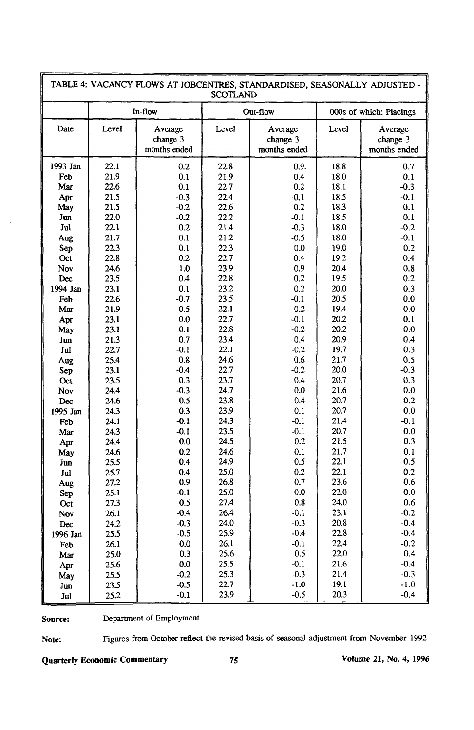| TABLE 4: VACANCY FLOWS AT JOBCENTRES, STANDARDISED, SEASONALLY ADJUSTED -<br><b>SCOTLAND</b> |       |                                     |              |                                     |                         |                                     |  |
|----------------------------------------------------------------------------------------------|-------|-------------------------------------|--------------|-------------------------------------|-------------------------|-------------------------------------|--|
|                                                                                              |       | In-flow                             |              | Out-flow                            | 000s of which: Placings |                                     |  |
| Date                                                                                         | Level | Average<br>change 3<br>months ended | Level        | Average<br>change 3<br>months ended | Level                   | Average<br>change 3<br>months ended |  |
| 1993 Jan                                                                                     | 22.1  | 0.2                                 | 22.8         | 0.9.                                | 18.8                    | 0.7                                 |  |
| Feb                                                                                          | 21.9  | 0.1                                 | 21.9         | 0.4                                 | 18.0                    | 0.1                                 |  |
| Mar                                                                                          | 22.6  | 0.1                                 | 22.7         | 0.2                                 | 18.1                    | $-0.3$                              |  |
| Apr                                                                                          | 21.5  | $-0.3$                              | 22.4         | $-0.1$                              | 18.5                    | $-0.1$                              |  |
| May                                                                                          | 21.5  | $-0.2$                              | 22.6         | 0.2                                 | 18.3                    | 0.1                                 |  |
| Jun                                                                                          | 22.0  | $-0.2$                              | 22.2         | $-0.1$                              | 18.5                    | 0.1                                 |  |
| Jul                                                                                          | 22.1  | 0.2                                 | 21.4         | $-0.3$                              | 18.0                    | $-0.2$                              |  |
| Aug                                                                                          | 21.7  | 0.1                                 | 21.2         | $-0.5$                              | 18.0                    | $-0.1$                              |  |
| Sep                                                                                          | 22.3  | 0.1                                 | 22.3         | 0.0                                 | 19.0                    | 0.2                                 |  |
| Oct                                                                                          | 22.8  | 0.2                                 | 22.7         | 0.4                                 | 19.2                    | 0.4                                 |  |
| Nov                                                                                          | 24.6  | 1.0                                 | 23.9         | 0.9                                 | 20.4                    | 0.8                                 |  |
| Dec                                                                                          | 23.5  | 0.4                                 | 22.8         | 0.2                                 | 19.5                    | 0.2                                 |  |
| 1994 Jan                                                                                     | 23.1  | 0.1                                 | 23.2         | 0.2                                 | 20.0                    | 0.3                                 |  |
| Feb                                                                                          | 22.6  | $-0.7$                              | 23.5         | $-0.1$                              | 20.5                    | 0.0                                 |  |
| Mar                                                                                          | 21.9  | $-0.5$                              | 22.1         | $-0.2$                              | 19.4                    | 0.0                                 |  |
| Apr                                                                                          | 23.1  | 0.0                                 | 22.7         | $-0.1$                              | 20.2                    | 0.1                                 |  |
| May                                                                                          | 23.1  | 0.1                                 | 22.8         | $-0.2$                              | 20.2                    | 0.0                                 |  |
| Jun                                                                                          | 21.3  | 0.7                                 | 23.4         | 0.4                                 | 20.9                    | 0.4                                 |  |
| Jul                                                                                          | 22.7  | $-0.1$                              | 22.1         | $-0.2$                              | 19.7                    | $-0.3$                              |  |
| Aug                                                                                          | 25.4  | 0.8                                 | 24.6         | 0.6                                 | 21.7                    | 0.5                                 |  |
| Sep                                                                                          | 23.1  | $-0.4$                              | 22.7         | $-0.2$                              | 20.0                    | $-0.3$                              |  |
| Oct                                                                                          | 23.5  | 0.3                                 | 23.7         | 0.4                                 | 20.7                    | 0.3                                 |  |
| <b>Nov</b>                                                                                   | 24.4  | $-0.3$                              | 24.7         | 0.0                                 | 21.6                    | $0.0\,$                             |  |
| Dec                                                                                          | 24.6  | 0.5                                 | 23.8         | 0.4                                 | 20.7                    | 0.2                                 |  |
| 1995 Jan                                                                                     | 24.3  | 0.3                                 | 23.9         | 0.1                                 | 20.7                    | 0.0                                 |  |
| Feb                                                                                          | 24.1  | $-0.1$                              | 24.3         | $-0.1$                              | 21.4                    | $-0.1$                              |  |
| Mar                                                                                          | 24.3  | $-0.1$                              | 23.5         | $-0.1$                              | 20.7                    | 0.0                                 |  |
| Apr                                                                                          | 24.4  | 0.0                                 | 24.5         | 0.2                                 | 21.5                    | 0.3                                 |  |
| May                                                                                          | 24.6  | 0.2                                 | 24.6         | 0.1                                 | 21.7                    | 0.1                                 |  |
| Jun                                                                                          | 25.5  | 0.4                                 | 24.9         | 0.5                                 | 22.1                    | 0.5                                 |  |
| Jul                                                                                          | 25.7  | 0.4                                 | 25.0         | 0.2                                 | 22.1                    | 0.2                                 |  |
| Aug                                                                                          | 27.2  | 0.9                                 | 26.8         | 0.7                                 | 23.6                    | 0.6                                 |  |
| Sep                                                                                          | 25.1  | $-0.1$                              | 25.0         | 0.0                                 | 22.0                    | 0.0                                 |  |
| Oct                                                                                          | 27.3  | 0.5                                 | 27.4         | 0.8                                 | 24.0                    | 0.6                                 |  |
| Nov                                                                                          | 26.1  | $-0.4$                              | 26.4         | $-0.1$                              | 23.1                    | $-0.2$                              |  |
| Dec                                                                                          | 24.2  | $-0.3$                              | 24.0         | $-0.3$                              | 20.8                    | $-0.4$                              |  |
| 1996 Jan                                                                                     | 25.5  | $-0.5$                              | 25.9         | $-0.4$                              | 22.8                    | $-0.4$                              |  |
| Feb                                                                                          | 26.1  | 0.0                                 | 26.1         | $-0.1$                              | 22.4                    | $-0.2$                              |  |
| Mar                                                                                          | 25.0  | 0.3                                 | 25.6         | 0.5                                 | 22.0                    | 0.4                                 |  |
| Apr                                                                                          | 25.6  | 0.0                                 | 25.5         | $-0.1$                              | 21.6                    | $-0.4$                              |  |
| May                                                                                          | 25.5  | $-0.2$                              | 25.3         | $-0.3$                              | 21.4                    | $-0.3$                              |  |
| $\mathbf{Jun}$                                                                               | 23.5  | $-0.5$                              | 22.7<br>23.9 | $-1.0$                              | 19.1<br>20.3            | $-1.0$                              |  |
| Jul                                                                                          | 25.2  | $-0.1$                              |              | $-0.5$                              |                         | $-0.4$                              |  |

**Source:** Department of Employment

F

**Note:** Figures from October reflect the revised basis of seasonal adjustment from November 1992

**Quarterly Economic Commentary 75 Volume 21, No. 4, 1996**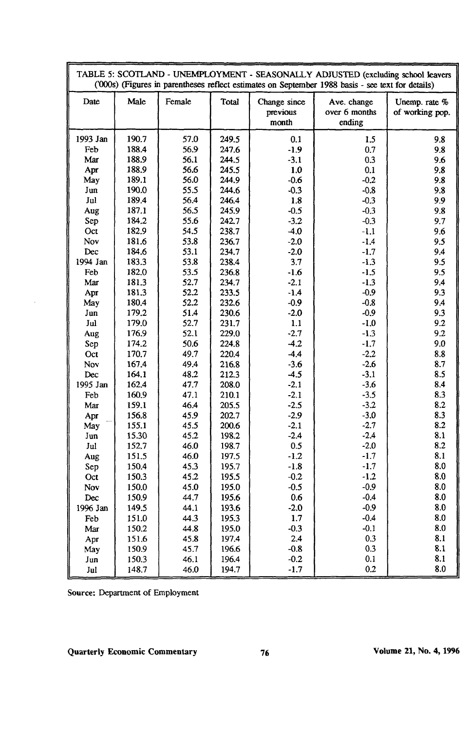| TABLE 5: SCOTLAND - UNEMPLOYMENT - SEASONALLY ADJUSTED (excluding school leavers<br>('000s) (Figures in parentheses reflect estimates on September 1988 basis - see text for details) |       |        |              |                                   |                                        |                                  |
|---------------------------------------------------------------------------------------------------------------------------------------------------------------------------------------|-------|--------|--------------|-----------------------------------|----------------------------------------|----------------------------------|
| Date                                                                                                                                                                                  | Male  | Female | <b>Total</b> | Change since<br>previous<br>month | Ave. change<br>over 6 months<br>ending | Unemp. rate %<br>of working pop. |
| 1993 Jan                                                                                                                                                                              | 190.7 | 57.0   | 249.5        | 0.1                               | 1.5                                    | 9.8                              |
| Feb                                                                                                                                                                                   | 188.4 | 56.9   | 247.6        | $-1.9$                            | 0.7                                    | 9.8                              |
| Mar                                                                                                                                                                                   | 188.9 | 56.1   | 244.5        | $-3.1$                            | 0.3                                    | 9.6                              |
| Apr                                                                                                                                                                                   | 188.9 | 56.6   | 245.5        | 1.0                               | 0.1                                    | 9.8                              |
| May                                                                                                                                                                                   | 189.1 | 56.0   | 244.9        | $-0.6$                            | $-0.2$                                 | 9.8                              |
| Jun                                                                                                                                                                                   | 190.0 | 55.5   | 244.6        | $-0.3$                            | $-0.8$                                 | 9.8                              |
| Jul                                                                                                                                                                                   | 189.4 | 56.4   | 246.4        | 1.8                               | $-0.3$                                 | 9.9                              |
| Aug                                                                                                                                                                                   | 187.1 | 56.5   | 245.9        | $-0.5$                            | $-0.3$                                 | 9.8                              |
| Sep                                                                                                                                                                                   | 184.2 | 55.6   | 242.7        | $-3.2$                            | $-0.3$                                 | 9.7                              |
| Oct                                                                                                                                                                                   | 182.9 | 54.5   | 238.7        | $-4.0$                            | $-1.1$                                 | 9.6                              |
| Nov                                                                                                                                                                                   | 181.6 | 53.8   | 236.7        | $-2.0$                            | $-1.4$                                 | 9.5                              |
| Dec                                                                                                                                                                                   | 184.6 | 53.1   | 234.7        | $-2.0$                            | $-1.7$                                 | 9.4                              |
| 1994 Jan                                                                                                                                                                              | 183.3 | 53.8   | 238.4        | 3.7                               | $-1.3$                                 | 9.5                              |
| Feb                                                                                                                                                                                   | 182.0 | 53.5   | 236.8        | $-1.6$                            | $-1.5$                                 | 9.5                              |
| Mar                                                                                                                                                                                   | 181.3 | 52.7   | 234.7        | $-2.1$                            | $-1.3$                                 | 9.4                              |
| Apr                                                                                                                                                                                   | 181.3 | 52.2   | 233.5        | $-1.4$                            | $-0.9$                                 | 9.3                              |
| May                                                                                                                                                                                   | 180.4 | 52.2   | 232.6        | $-0.9$                            | $-0.8$                                 | 9.4                              |
| Jun                                                                                                                                                                                   | 179.2 | 51.4   | 230.6        | $-2.0$                            | $-0.9$                                 | 9.3                              |
| Jul                                                                                                                                                                                   | 179.0 | 52.7   | 231.7        | 1.1                               | $-1.0$                                 | 9.2                              |
| Aug                                                                                                                                                                                   | 176.9 | 52.1   | 229.0        | $-2.7$                            | $-1.3$                                 | 9.2                              |
| Sep                                                                                                                                                                                   | 174.2 | 50.6   | 224.8        | $-4.2$                            | $-1.7$                                 | 9.0                              |
| Oct                                                                                                                                                                                   | 170.7 | 49.7   | 220.4        | $-4.4$                            | $-2.2$                                 | 8.8                              |
| Nov                                                                                                                                                                                   | 167.4 | 49.4   | 216.8        | $-3.6$                            | $-2.6$                                 | 8.7                              |
| Dec                                                                                                                                                                                   | 164.1 | 48.2   | 212.3        | $-4.5$                            | $-3.1$                                 | 8.5                              |
| 1995 Jan                                                                                                                                                                              | 162.4 | 47.7   | 208.0        | $-2.1$                            | $-3.6$                                 | 8.4                              |
| Feb                                                                                                                                                                                   | 160.9 | 47.1   | 210.1        | $-2.1$                            | $-3.5$                                 | 8.3                              |
| Mar                                                                                                                                                                                   | 159.1 | 46.4   | 205.5        | $-2.5$                            | $-3.2$                                 | 8.2                              |
| Apr                                                                                                                                                                                   | 156.8 | 45.9   | 202.7        | $-2.9$                            | $-3.0$                                 | 8.3                              |
| May                                                                                                                                                                                   | 155.1 | 45.5   | 200.6        | $-2.1$                            | $-2.7$                                 | 8.2                              |
| Jun                                                                                                                                                                                   | 15.30 | 45.2   | 198.2        | $-2.4$                            | $-2.4$                                 | 8.1                              |
| Jul                                                                                                                                                                                   | 152.7 | 46.0   | 198.7        | 0.5                               | $-2.0$                                 | 8.2                              |
| Aug                                                                                                                                                                                   | 151.5 | 46.0   | 197.5        | $-1.2$                            | $-1.7$                                 | 8.1                              |
| Sep                                                                                                                                                                                   | 150.4 | 45.3   | 195.7        | $-1.8$                            | $-1.7$                                 | 8.0                              |
| Oct                                                                                                                                                                                   | 150.3 | 45.2   | 195.5        | $-0.2$                            | $-1.2$                                 | 8.0                              |
| Nov                                                                                                                                                                                   | 150.0 | 45.0   | 195.0        | $-0.5$                            | $-0.9$                                 | 8.0                              |
| Dec                                                                                                                                                                                   | 150.9 | 44.7   | 195.6        | 0.6                               | $-0.4$                                 | 8.0                              |
| 1996 Jan                                                                                                                                                                              | 149.5 | 44.1   | 193.6        | $-2.0$                            | $-0.9$                                 | 8.0                              |
| Feb                                                                                                                                                                                   | 151.0 | 44.3   | 195.3        | 1.7                               | $-0.4$                                 | 8.0                              |
| Mar                                                                                                                                                                                   | 150.2 | 44.8   | 195.0        | $-0.3$                            | $-0.1$                                 | 8.0                              |
| Apr                                                                                                                                                                                   | 151.6 | 45.8   | 197.4        | 2.4                               | 0.3                                    | 8.1                              |
| May                                                                                                                                                                                   | 150.9 | 45.7   | 196.6        | $-0.8$                            | 0.3                                    | 8.1                              |
| Jun                                                                                                                                                                                   | 150.3 | 46.1   | 196.4        | $-0.2$                            | 0.1                                    | 8.1                              |
| Jul                                                                                                                                                                                   | 148.7 | 46.0   | 194.7        | $-1.7$                            | 0.2                                    | 8.0                              |

Source: Department of Employment

 $\ddot{\phantom{0}}$ 

Quarterly Economic Commentary **76** Volume 21, No. 4, 1996